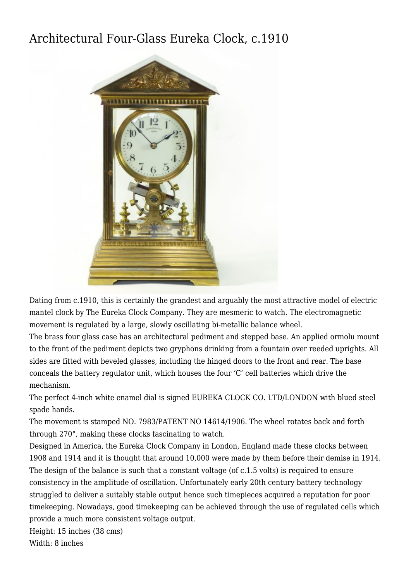## [Architectural Four-Glass Eureka Clock, c.1910](http://www.ukclocks.com/products/architectural-four-glass-eureka-clock-c-1910/)



Dating from c.1910, this is certainly the grandest and arguably the most attractive model of electric mantel clock by The Eureka Clock Company. They are mesmeric to watch. The electromagnetic movement is regulated by a large, slowly oscillating bi-metallic balance wheel.

The brass four glass case has an architectural pediment and stepped base. An applied ormolu mount to the front of the pediment depicts two gryphons drinking from a fountain over reeded uprights. All sides are fitted with beveled glasses, including the hinged doors to the front and rear. The base conceals the battery regulator unit, which houses the four 'C' cell batteries which drive the mechanism.

The perfect 4-inch white enamel dial is signed EUREKA CLOCK CO. LTD/LONDON with blued steel spade hands.

The movement is stamped NO. 7983/PATENT NO 14614/1906. The wheel rotates back and forth through 270°, making these clocks fascinating to watch.

Designed in America, the Eureka Clock Company in London, England made these clocks between 1908 and 1914 and it is thought that around 10,000 were made by them before their demise in 1914. The design of the balance is such that a constant voltage (of c.1.5 volts) is required to ensure consistency in the amplitude of oscillation. Unfortunately early 20th century battery technology struggled to deliver a suitably stable output hence such timepieces acquired a reputation for poor timekeeping. Nowadays, good timekeeping can be achieved through the use of regulated cells which provide a much more consistent voltage output.

Height: 15 inches (38 cms) Width: 8 inches